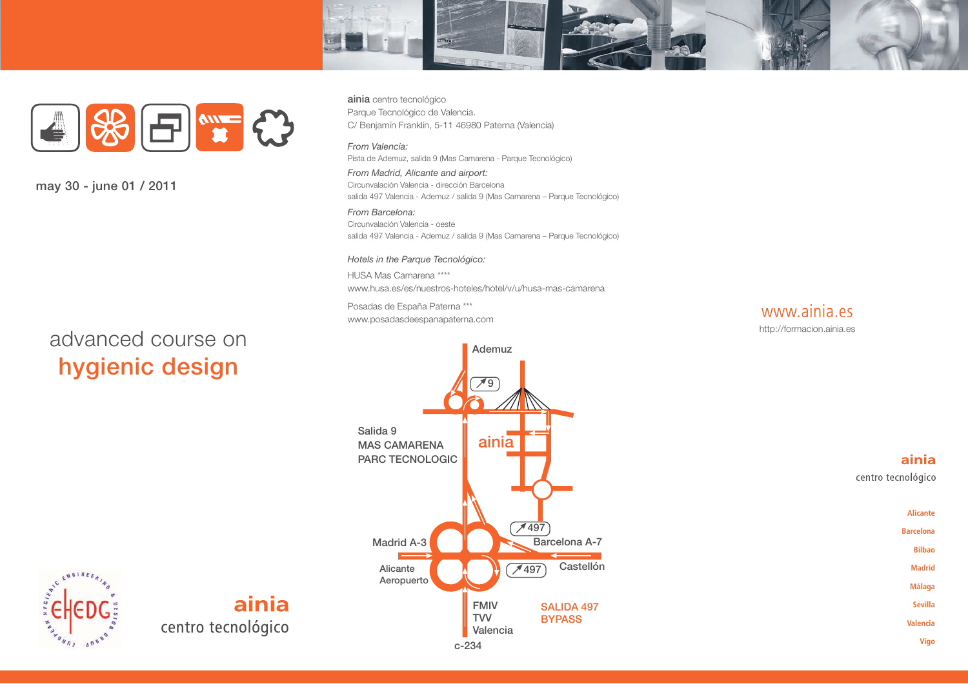



**may 30 - june 01 / 2011**

# advanced course on **hygienic design**

**ainia** centro tecnológico Parque Tecnológico de Valencia. C/ Benjamín Franklin, 5-11 46980 Paterna (Valencia)

#### *From Valencia:*

Pista de Ademuz, salida 9 (Mas Camarena - Parque Tecnológico)

*From Madrid, Alicante and airport:* Circunvalación Valencia - dirección Barcelona salida 497 Valencia - Ademuz / salida 9 (Mas Camarena – Parque Tecnológico)

*From Barcelona:* Circunvalación Valencia - oeste salida 497 Valencia - Ademuz / salida 9 (Mas Camarena – Parque Tecnológico)

#### *Hotels in the Parque Tecnológico:*

HUSA Mas Camarena \*\*\*\* www.husa.es/es/nuestros-hoteles/hotel/v/u/husa-mas-camarena

Posadas de España Paterna \*\*\* www.posadasdeespanapaterna.com





#### ainia

centro tecnológico



ENGINEE

# ainia centro tecnológico

**c-234**